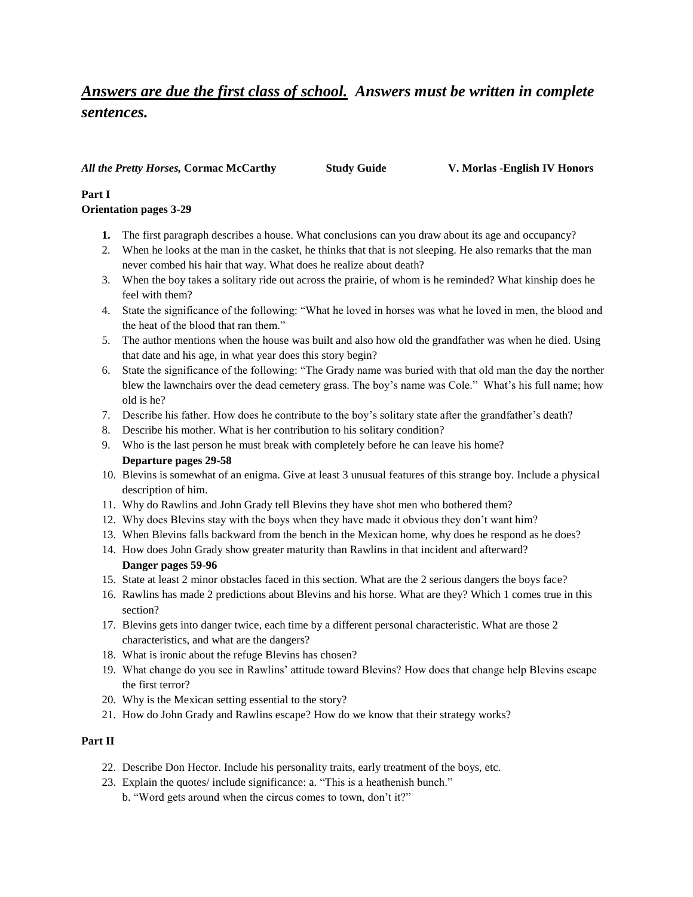# *Answers are due the first class of school. Answers must be written in complete sentences.*

#### *All the Pretty Horses,* **Cormac McCarthy Study Guide V. Morlas -English IV Honors**

## **Part I**

#### **Orientation pages 3-29**

- **1.** The first paragraph describes a house. What conclusions can you draw about its age and occupancy?
- 2. When he looks at the man in the casket, he thinks that that is not sleeping. He also remarks that the man never combed his hair that way. What does he realize about death?
- 3. When the boy takes a solitary ride out across the prairie, of whom is he reminded? What kinship does he feel with them?
- 4. State the significance of the following: "What he loved in horses was what he loved in men, the blood and the heat of the blood that ran them."
- 5. The author mentions when the house was built and also how old the grandfather was when he died. Using that date and his age, in what year does this story begin?
- 6. State the significance of the following: "The Grady name was buried with that old man the day the norther blew the lawnchairs over the dead cemetery grass. The boy's name was Cole." What's his full name; how old is he?
- 7. Describe his father. How does he contribute to the boy's solitary state after the grandfather's death?
- 8. Describe his mother. What is her contribution to his solitary condition?
- 9. Who is the last person he must break with completely before he can leave his home? **Departure pages 29-58**
- 10. Blevins is somewhat of an enigma. Give at least 3 unusual features of this strange boy. Include a physical description of him.
- 11. Why do Rawlins and John Grady tell Blevins they have shot men who bothered them?
- 12. Why does Blevins stay with the boys when they have made it obvious they don't want him?
- 13. When Blevins falls backward from the bench in the Mexican home, why does he respond as he does?
- 14. How does John Grady show greater maturity than Rawlins in that incident and afterward? **Danger pages 59-96**
- 15. State at least 2 minor obstacles faced in this section. What are the 2 serious dangers the boys face?
- 16. Rawlins has made 2 predictions about Blevins and his horse. What are they? Which 1 comes true in this section?
- 17. Blevins gets into danger twice, each time by a different personal characteristic. What are those 2 characteristics, and what are the dangers?
- 18. What is ironic about the refuge Blevins has chosen?
- 19. What change do you see in Rawlins' attitude toward Blevins? How does that change help Blevins escape the first terror?
- 20. Why is the Mexican setting essential to the story?
- 21. How do John Grady and Rawlins escape? How do we know that their strategy works?

### **Part II**

- 22. Describe Don Hector. Include his personality traits, early treatment of the boys, etc.
- 23. Explain the quotes/ include significance: a. "This is a heathenish bunch."
	- b. "Word gets around when the circus comes to town, don't it?"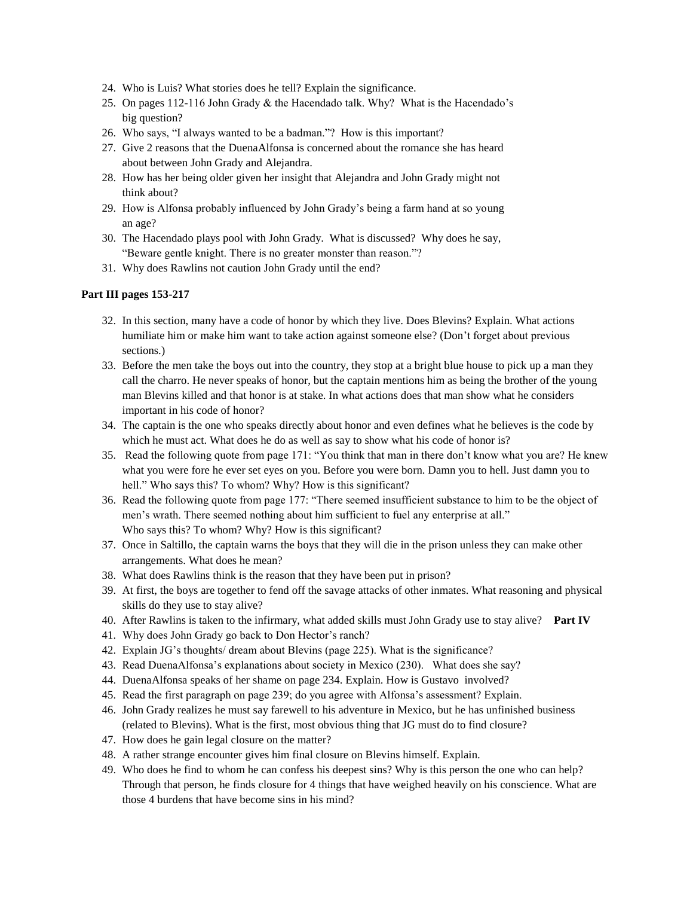- 24. Who is Luis? What stories does he tell? Explain the significance.
- 25. On pages 112-116 John Grady & the Hacendado talk. Why? What is the Hacendado's big question?
- 26. Who says, "I always wanted to be a badman."? How is this important?
- 27. Give 2 reasons that the DuenaAlfonsa is concerned about the romance she has heard about between John Grady and Alejandra.
- 28. How has her being older given her insight that Alejandra and John Grady might not think about?
- 29. How is Alfonsa probably influenced by John Grady's being a farm hand at so young an age?
- 30. The Hacendado plays pool with John Grady. What is discussed? Why does he say, "Beware gentle knight. There is no greater monster than reason."?
- 31. Why does Rawlins not caution John Grady until the end?

#### **Part III pages 153-217**

- 32. In this section, many have a code of honor by which they live. Does Blevins? Explain. What actions humiliate him or make him want to take action against someone else? (Don't forget about previous sections.)
- 33. Before the men take the boys out into the country, they stop at a bright blue house to pick up a man they call the charro. He never speaks of honor, but the captain mentions him as being the brother of the young man Blevins killed and that honor is at stake. In what actions does that man show what he considers important in his code of honor?
- 34. The captain is the one who speaks directly about honor and even defines what he believes is the code by which he must act. What does he do as well as say to show what his code of honor is?
- 35. Read the following quote from page 171: "You think that man in there don't know what you are? He knew what you were fore he ever set eyes on you. Before you were born. Damn you to hell. Just damn you to hell." Who says this? To whom? Why? How is this significant?
- 36. Read the following quote from page 177: "There seemed insufficient substance to him to be the object of men's wrath. There seemed nothing about him sufficient to fuel any enterprise at all." Who says this? To whom? Why? How is this significant?
- 37. Once in Saltillo, the captain warns the boys that they will die in the prison unless they can make other arrangements. What does he mean?
- 38. What does Rawlins think is the reason that they have been put in prison?
- 39. At first, the boys are together to fend off the savage attacks of other inmates. What reasoning and physical skills do they use to stay alive?
- 40. After Rawlins is taken to the infirmary, what added skills must John Grady use to stay alive? **Part IV**
- 41. Why does John Grady go back to Don Hector's ranch?
- 42. Explain JG's thoughts/ dream about Blevins (page 225). What is the significance?
- 43. Read DuenaAlfonsa's explanations about society in Mexico (230). What does she say?
- 44. DuenaAlfonsa speaks of her shame on page 234. Explain. How is Gustavo involved?
- 45. Read the first paragraph on page 239; do you agree with Alfonsa's assessment? Explain.
- 46. John Grady realizes he must say farewell to his adventure in Mexico, but he has unfinished business (related to Blevins). What is the first, most obvious thing that JG must do to find closure?
- 47. How does he gain legal closure on the matter?
- 48. A rather strange encounter gives him final closure on Blevins himself. Explain.
- 49. Who does he find to whom he can confess his deepest sins? Why is this person the one who can help? Through that person, he finds closure for 4 things that have weighed heavily on his conscience. What are those 4 burdens that have become sins in his mind?